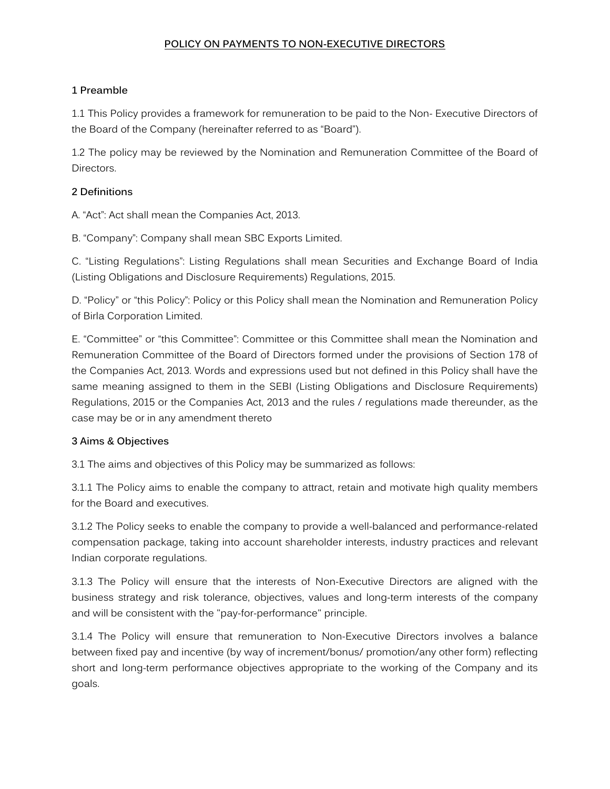### **POLICY ON PAYMENTS TO NON-EXECUTIVE DIRECTORS**

# **1 Preamble**

1.1 This Policy provides a framework for remuneration to be paid to the Non- Executive Directors of the Board of the Company (hereinafter referred to as "Board").

1.2 The policy may be reviewed by the Nomination and Remuneration Committee of the Board of Directors.

# **2 Definitions**

A. "Act": Act shall mean the Companies Act, 2013.

B. "Company": Company shall mean SBC Exports Limited.

C. "Listing Regulations": Listing Regulations shall mean Securities and Exchange Board of India (Listing Obligations and Disclosure Requirements) Regulations, 2015.

D. "Policy" or "this Policy": Policy or this Policy shall mean the Nomination and Remuneration Policy of Birla Corporation Limited.

E. "Committee" or "this Committee": Committee or this Committee shall mean the Nomination and Remuneration Committee of the Board of Directors formed under the provisions of Section 178 of the Companies Act, 2013. Words and expressions used but not defined in this Policy shall have the same meaning assigned to them in the SEBI (Listing Obligations and Disclosure Requirements) Regulations, 2015 or the Companies Act, 2013 and the rules / regulations made thereunder, as the case may be or in any amendment thereto

### **3 Aims & Objectives**

3.1 The aims and objectives of this Policy may be summarized as follows:

3.1.1 The Policy aims to enable the company to attract, retain and motivate high quality members for the Board and executives.

3.1.2 The Policy seeks to enable the company to provide a well-balanced and performance-related compensation package, taking into account shareholder interests, industry practices and relevant Indian corporate regulations.

3.1.3 The Policy will ensure that the interests of Non-Executive Directors are aligned with the business strategy and risk tolerance, objectives, values and long-term interests of the company and will be consistent with the "pay-for-performance" principle.

3.1.4 The Policy will ensure that remuneration to Non-Executive Directors involves a balance between fixed pay and incentive (by way of increment/bonus/ promotion/any other form) reflecting short and long-term performance objectives appropriate to the working of the Company and its goals.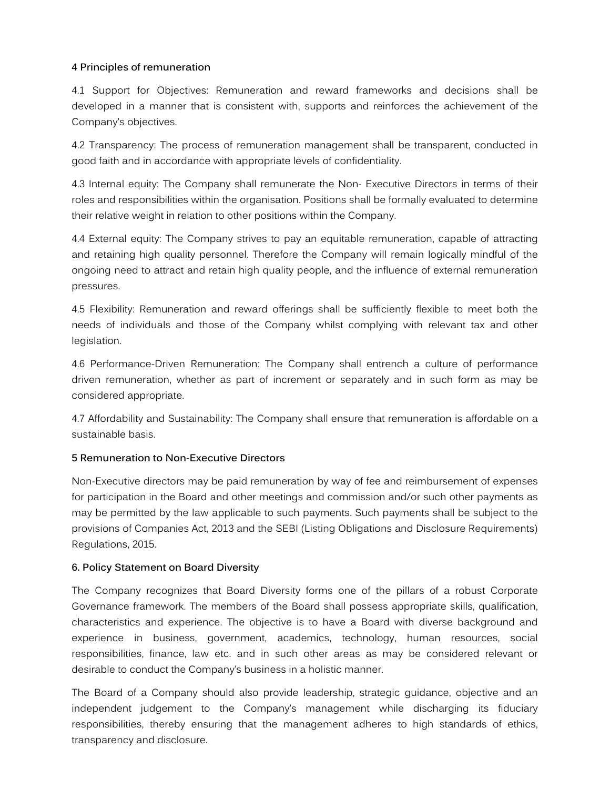### **4 Principles of remuneration**

4.1 Support for Objectives: Remuneration and reward frameworks and decisions shall be developed in a manner that is consistent with, supports and reinforces the achievement of the Company's objectives.

4.2 Transparency: The process of remuneration management shall be transparent, conducted in good faith and in accordance with appropriate levels of confidentiality.

4.3 Internal equity: The Company shall remunerate the Non- Executive Directors in terms of their roles and responsibilities within the organisation. Positions shall be formally evaluated to determine their relative weight in relation to other positions within the Company.

4.4 External equity: The Company strives to pay an equitable remuneration, capable of attracting and retaining high quality personnel. Therefore the Company will remain logically mindful of the ongoing need to attract and retain high quality people, and the influence of external remuneration pressures.

4.5 Flexibility: Remuneration and reward offerings shall be sufficiently flexible to meet both the needs of individuals and those of the Company whilst complying with relevant tax and other legislation.

4.6 Performance-Driven Remuneration: The Company shall entrench a culture of performance driven remuneration, whether as part of increment or separately and in such form as may be considered appropriate.

4.7 Affordability and Sustainability: The Company shall ensure that remuneration is affordable on a sustainable basis.

# **5 Remuneration to Non-Executive Directors**

Non-Executive directors may be paid remuneration by way of fee and reimbursement of expenses for participation in the Board and other meetings and commission and/or such other payments as may be permitted by the law applicable to such payments. Such payments shall be subject to the provisions of Companies Act, 2013 and the SEBI (Listing Obligations and Disclosure Requirements) Regulations, 2015.

### **6. Policy Statement on Board Diversity**

The Company recognizes that Board Diversity forms one of the pillars of a robust Corporate Governance framework. The members of the Board shall possess appropriate skills, qualification, characteristics and experience. The objective is to have a Board with diverse background and experience in business, government, academics, technology, human resources, social responsibilities, finance, law etc. and in such other areas as may be considered relevant or desirable to conduct the Company's business in a holistic manner.

The Board of a Company should also provide leadership, strategic guidance, objective and an independent judgement to the Company's management while discharging its fiduciary responsibilities, thereby ensuring that the management adheres to high standards of ethics, transparency and disclosure.